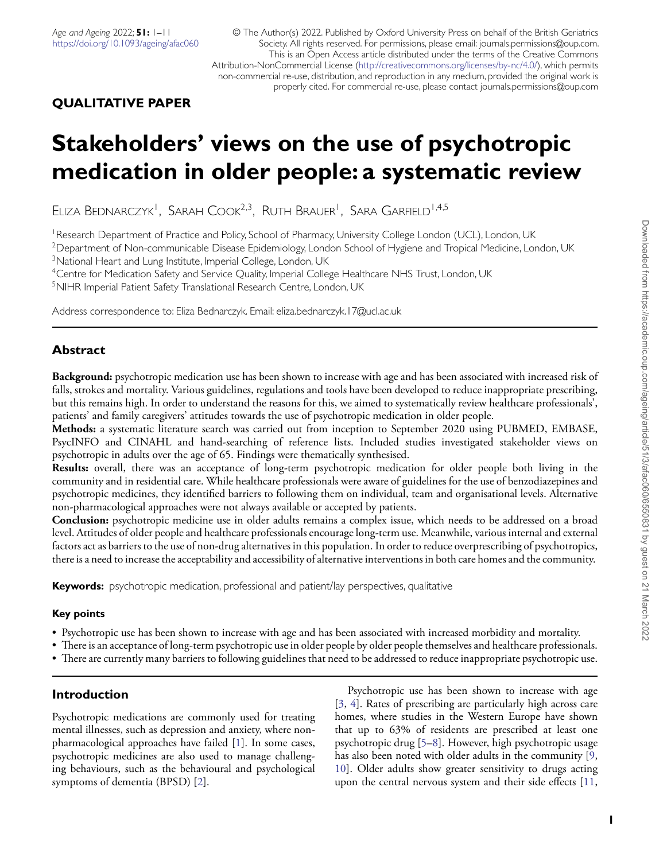# **QUALITATIVE PAPER**

# **Stakeholders' views on the use of psychotropic medication in older people: a systematic review**

ELIZA BEDNARCZYK<sup>I</sup>, SARAH COOK<sup>2,3</sup>, RUTH BRAUER<sup>I</sup>, SARA GARFIELD<sup>1,4,5</sup>

<sup>1</sup>Research Department of Practice and Policy, School of Pharmacy, University College London (UCL), London, UK <sup>2</sup>Department of Non-communicable Disease Epidemiology, London School of Hygiene and Tropical Medicine, London, UK <sup>3</sup>National Heart and Lung Institute, Imperial College, London, UK

4Centre for Medication Safety and Service Quality, Imperial College Healthcare NHS Trust, London, UK 5NIHR Imperial Patient Safety Translational Research Centre, London, UK

Address correspondence to: Eliza Bednarczyk. Email: eliza.bednarczyk. 17@ucl.ac.uk

# **Abstract**

**Background:** psychotropic medication use has been shown to increase with age and has been associated with increased risk of falls, strokes and mortality. Various guidelines, regulations and tools have been developed to reduce inappropriate prescribing, but this remains high. In order to understand the reasons for this, we aimed to systematically review healthcare professionals', patients' and family caregivers' attitudes towards the use of psychotropic medication in older people.

**Methods:** a systematic literature search was carried out from inception to September 2020 using PUBMED, EMBASE, PsycINFO and CINAHL and hand-searching of reference lists. Included studies investigated stakeholder views on psychotropic in adults over the age of 65. Findings were thematically synthesised.

**Results:** overall, there was an acceptance of long-term psychotropic medication for older people both living in the community and in residential care. While healthcare professionals were aware of guidelines for the use of benzodiazepines and psychotropic medicines, they identified barriers to following them on individual, team and organisational levels. Alternative non-pharmacological approaches were not always available or accepted by patients.

**Conclusion:** psychotropic medicine use in older adults remains a complex issue, which needs to be addressed on a broad level. Attitudes of older people and healthcare professionals encourage long-term use. Meanwhile, various internal and external factors act as barriers to the use of non-drug alternatives in this population. In order to reduce overprescribing of psychotropics, there is a need to increase the acceptability and accessibility of alternative interventions in both care homes and the community.

**Keywords:** psychotropic medication, professional and patient/lay perspectives, qualitative

# **Key points**

- Psychotropic use has been shown to increase with age and has been associated with increased morbidity and mortality.
- There is an acceptance of long-term psychotropic use in older people by older people themselves and healthcare professionals.
- There are currently many barriers to following guidelines that need to be addressed to reduce inappropriate psychotropic use.

# **Introduction**

<span id="page-0-1"></span>Psychotropic medications are commonly used for treating mental illnesses, such as depression and anxiety, where nonpharmacological approaches have failed [\[1](#page-7-0)]. In some cases, psychotropic medicines are also used to manage challenging behaviours, such as the behavioural and psychological symptoms of dementia (BPSD) [\[2](#page-7-1)].

<span id="page-0-8"></span><span id="page-0-7"></span><span id="page-0-6"></span><span id="page-0-5"></span><span id="page-0-4"></span><span id="page-0-3"></span><span id="page-0-2"></span><span id="page-0-0"></span>Psychotropic use has been shown to increase with age [[3,](#page-7-2) [4](#page-7-3)]. Rates of prescribing are particularly high across care homes, where studies in the Western Europe have shown that up to 63% of residents are prescribed at least one psychotropic drug [[5](#page-7-4)[–8](#page-7-5)]. However, high psychotropic usage has also been noted with older adults in the community [\[9](#page-7-6), [10\]](#page-7-7). Older adults show greater sensitivity to drugs acting upon the central nervous system and their side effects [[11](#page-7-8),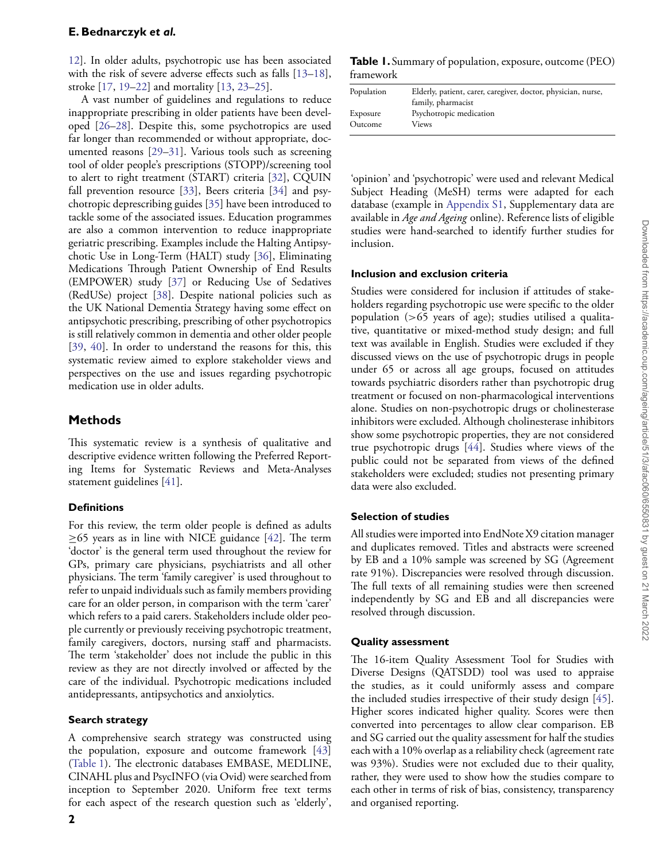<span id="page-1-1"></span>[12](#page-7-9)]. In older adults, psychotropic use has been associated with the risk of severe adverse effects such as falls [\[13–](#page-7-10)[18](#page-8-0)], stroke [\[17,](#page-8-1) [19](#page-8-2)–[22](#page-8-3)] and mortality [\[13,](#page-7-10) [23–](#page-8-4)[25](#page-8-5)].

<span id="page-1-14"></span><span id="page-1-12"></span><span id="page-1-11"></span><span id="page-1-10"></span><span id="page-1-9"></span><span id="page-1-6"></span><span id="page-1-5"></span><span id="page-1-3"></span>A vast number of guidelines and regulations to reduce inappropriate prescribing in older patients have been developed [[26](#page-8-6)[–28\]](#page-8-7). Despite this, some psychotropics are used far longer than recommended or without appropriate, documented reasons [\[29–](#page-8-8)[31](#page-8-9)]. Various tools such as screening tool of older people's prescriptions (STOPP)/screening tool to alert to right treatment (START) criteria [\[32\]](#page-8-10), CQUIN fall prevention resource [\[33\]](#page-8-11), Beers criteria [\[34\]](#page-8-12) and psychotropic deprescribing guides [\[35\]](#page-8-13) have been introduced to tackle some of the associated issues. Education programmes are also a common intervention to reduce inappropriate geriatric prescribing. Examples include the Halting Antipsychotic Use in Long-Term (HALT) study [\[36\]](#page-8-14), Eliminating Medications Through Patient Ownership of End Results (EMPOWER) study [\[37\]](#page-8-15) or Reducing Use of Sedatives (RedUSe) project [[38](#page-8-16)]. Despite national policies such as the UK National Dementia Strategy having some effect on antipsychotic prescribing, prescribing of other psychotropics is still relatively common in dementia and other older people [\[39,](#page-8-17) [40\]](#page-8-18). In order to understand the reasons for this, this systematic review aimed to explore stakeholder views and perspectives on the use and issues regarding psychotropic medication use in older adults.

# <span id="page-1-21"></span><span id="page-1-20"></span><span id="page-1-19"></span><span id="page-1-18"></span>**Methods**

This systematic review is a synthesis of qualitative and descriptive evidence written following the Preferred Reporting Items for Systematic Reviews and Meta-Analyses statement guidelines [\[41\]](#page-8-19).

# <span id="page-1-22"></span>**Definitions**

For this review, the term older people is defined as adults  $\geq$ 65 years as in line with NICE guidance [[42](#page-8-20)]. The term 'doctor' is the general term used throughout the review for GPs, primary care physicians, psychiatrists and all other physicians. The term 'family caregiver' is used throughout to refer to unpaid individuals such as family members providing care for an older person, in comparison with the term 'carer' which refers to a paid carers. Stakeholders include older people currently or previously receiving psychotropic treatment, family caregivers, doctors, nursing staff and pharmacists. The term 'stakeholder' does not include the public in this review as they are not directly involved or affected by the care of the individual. Psychotropic medications included antidepressants, antipsychotics and anxiolytics.

# **Search strategy**

A comprehensive search strategy was constructed using the population, exposure and outcome framework [[43\]](#page-8-21) [\(Table 1](#page-1-0)). The electronic databases EMBASE, MEDLINE, CINAHL plus and PsycINFO (via Ovid) were searched from inception to September 2020. Uniform free text terms for each aspect of the research question such as 'elderly',

<span id="page-1-0"></span>**Table 1.**Summary of population, exposure, outcome (PEO) framework

<span id="page-1-8"></span><span id="page-1-7"></span><span id="page-1-4"></span><span id="page-1-2"></span>

| Population | Elderly, patient, carer, caregiver, doctor, physician, nurse, |
|------------|---------------------------------------------------------------|
|            | family, pharmacist                                            |
| Exposure   | Psychotropic medication                                       |
| Outcome    | Views                                                         |
|            |                                                               |

<span id="page-1-16"></span><span id="page-1-15"></span><span id="page-1-13"></span>'opinion' and 'psychotropic' were used and relevant Medical Subject Heading (MeSH) terms were adapted for each database (example in Appendix S1, Supplementary data are available in *Age and Ageing* online). Reference lists of eligible studies were hand-searched to identify further studies for inclusion.

## <span id="page-1-17"></span>**Inclusion and exclusion criteria**

Studies were considered for inclusion if attitudes of stakeholders regarding psychotropic use were specific to the older population (*>*65 years of age); studies utilised a qualitative, quantitative or mixed-method study design; and full text was available in English. Studies were excluded if they discussed views on the use of psychotropic drugs in people under 65 or across all age groups, focused on attitudes towards psychiatric disorders rather than psychotropic drug treatment or focused on non-pharmacological interventions alone. Studies on non-psychotropic drugs or cholinesterase inhibitors were excluded. Although cholinesterase inhibitors show some psychotropic properties, they are not considered true psychotropic drugs [\[44\]](#page-8-22). Studies where views of the public could not be separated from views of the defined stakeholders were excluded; studies not presenting primary data were also excluded.

# <span id="page-1-25"></span>**Selection of studies**

<span id="page-1-23"></span>All studies were imported into EndNote X9 citation manager and duplicates removed. Titles and abstracts were screened by EB and a 10% sample was screened by SG (Agreement rate 91%). Discrepancies were resolved through discussion. The full texts of all remaining studies were then screened independently by SG and EB and all discrepancies were resolved through discussion.

# **Quality assessment**

<span id="page-1-26"></span><span id="page-1-24"></span>The 16-item Quality Assessment Tool for Studies with Diverse Designs (QATSDD) tool was used to appraise the studies, as it could uniformly assess and compare the included studies irrespective of their study design [\[45\]](#page-8-23). Higher scores indicated higher quality. Scores were then converted into percentages to allow clear comparison. EB and SG carried out the quality assessment for half the studies each with a 10% overlap as a reliability check (agreement rate was 93%). Studies were not excluded due to their quality, rather, they were used to show how the studies compare to each other in terms of risk of bias, consistency, transparency and organised reporting.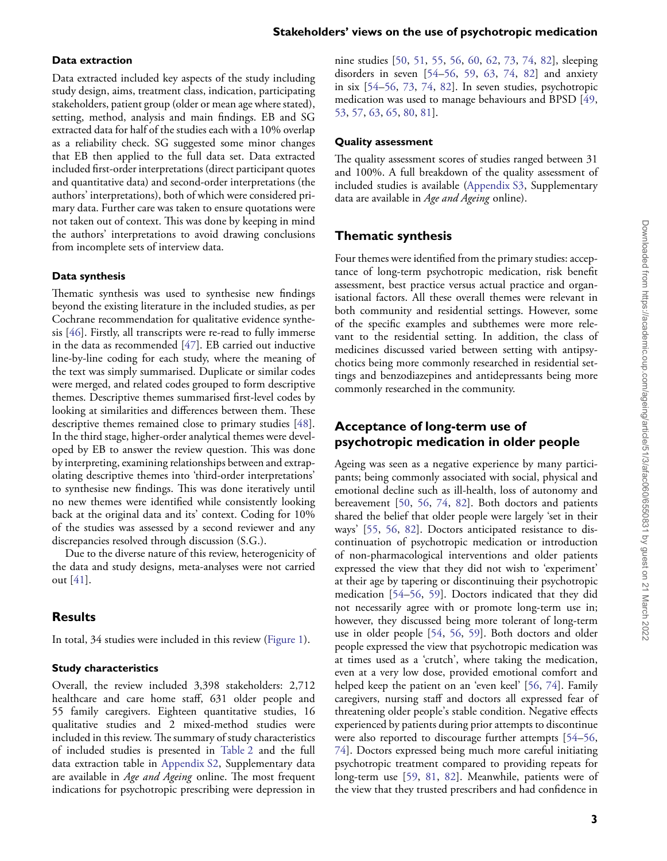### **Data extraction**

Data extracted included key aspects of the study including study design, aims, treatment class, indication, participating stakeholders, patient group (older or mean age where stated), setting, method, analysis and main findings. EB and SG extracted data for half of the studies each with a 10% overlap as a reliability check. SG suggested some minor changes that EB then applied to the full data set. Data extracted included first-order interpretations (direct participant quotes and quantitative data) and second-order interpretations (the authors' interpretations), both of which were considered primary data. Further care was taken to ensure quotations were not taken out of context. This was done by keeping in mind the authors' interpretations to avoid drawing conclusions from incomplete sets of interview data.

#### **Data synthesis**

<span id="page-2-1"></span><span id="page-2-0"></span>Thematic synthesis was used to synthesise new findings beyond the existing literature in the included studies, as per Cochrane recommendation for qualitative evidence synthesis [[46](#page-8-24)]. Firstly, all transcripts were re-read to fully immerse in the data as recommended [[47](#page-8-25)]. EB carried out inductive line-by-line coding for each study, where the meaning of the text was simply summarised. Duplicate or similar codes were merged, and related codes grouped to form descriptive themes. Descriptive themes summarised first-level codes by looking at similarities and differences between them. These descriptive themes remained close to primary studies [[48](#page-8-26)]. In the third stage, higher-order analytical themes were developed by EB to answer the review question. This was done by interpreting, examining relationships between and extrapolating descriptive themes into 'third-order interpretations' to synthesise new findings. This was done iteratively until no new themes were identified while consistently looking back at the original data and its' context. Coding for 10% of the studies was assessed by a second reviewer and any discrepancies resolved through discussion (S.G.).

Due to the diverse nature of this review, heterogenicity of the data and study designs, meta-analyses were not carried out [[41](#page-8-19)].

### **Results**

In total, 34 studies were included in this review [\(Figure 1\)](#page-3-0).

#### **Study characteristics**

Overall, the review included 3,398 stakeholders: 2,712 healthcare and care home staff, 631 older people and 55 family caregivers. Eighteen quantitative studies, 16 qualitative studies and 2 mixed-method studies were included in this review. The summary of study characteristics of included studies is presented in [Table 2](#page-4-0) and the full data extraction table in Appendix S2, Supplementary data are available in *Age and Ageing* online. The most frequent indications for psychotropic prescribing were depression in

<span id="page-2-20"></span><span id="page-2-17"></span><span id="page-2-16"></span><span id="page-2-14"></span><span id="page-2-13"></span><span id="page-2-12"></span><span id="page-2-11"></span><span id="page-2-9"></span><span id="page-2-8"></span><span id="page-2-7"></span><span id="page-2-5"></span><span id="page-2-4"></span>nine studies [\[50,](#page-9-0) [51](#page-9-1), [55](#page-9-2), [56,](#page-9-3) [60](#page-9-4), [62,](#page-9-5) [73,](#page-9-6) [74](#page-9-7), [82\]](#page-9-8), sleeping disorders in seven [\[54–](#page-9-9)[56](#page-9-3), [59,](#page-9-10) [63,](#page-9-11) [74](#page-9-7), [82](#page-9-8)] and anxiety in six [\[54–](#page-9-9)[56,](#page-9-3) [73,](#page-9-6) [74,](#page-9-7) [82\]](#page-9-8). In seven studies, psychotropic medication was used to manage behaviours and BPSD [[49](#page-9-12), [53,](#page-9-13) [57,](#page-9-14) [63](#page-9-11), [65](#page-9-15), [80,](#page-9-16) [81\]](#page-9-17).

#### <span id="page-2-19"></span><span id="page-2-18"></span><span id="page-2-15"></span><span id="page-2-10"></span><span id="page-2-6"></span><span id="page-2-3"></span>**Quality assessment**

The quality assessment scores of studies ranged between 31 and 100%. A full breakdown of the quality assessment of included studies is available (Appendix S3, Supplementary data are available in *Age and Ageing* online).

## **Thematic synthesis**

Four themes were identified from the primary studies: acceptance of long-term psychotropic medication, risk benefit assessment, best practice versus actual practice and organisational factors. All these overall themes were relevant in both community and residential settings. However, some of the specific examples and subthemes were more relevant to the residential setting. In addition, the class of medicines discussed varied between setting with antipsychotics being more commonly researched in residential settings and benzodiazepines and antidepressants being more commonly researched in the community.

# <span id="page-2-2"></span>**Acceptance of long-term use of psychotropic medication in older people**

Ageing was seen as a negative experience by many participants; being commonly associated with social, physical and emotional decline such as ill-health, loss of autonomy and bereavement [\[50,](#page-9-0) [56,](#page-9-3) [74](#page-9-7), [82\]](#page-9-8). Both doctors and patients shared the belief that older people were largely 'set in their ways' [[55](#page-9-2), [56,](#page-9-3) [82](#page-9-8)]. Doctors anticipated resistance to discontinuation of psychotropic medication or introduction of non-pharmacological interventions and older patients expressed the view that they did not wish to 'experiment' at their age by tapering or discontinuing their psychotropic medication [[54](#page-9-9)[–56,](#page-9-3) [59](#page-9-10)]. Doctors indicated that they did not necessarily agree with or promote long-term use in; however, they discussed being more tolerant of long-term use in older people [[54](#page-9-9), [56](#page-9-3), [59\]](#page-9-10). Both doctors and older people expressed the view that psychotropic medication was at times used as a 'crutch', where taking the medication, even at a very low dose, provided emotional comfort and helped keep the patient on an 'even keel' [[56](#page-9-3), [74\]](#page-9-7). Family caregivers, nursing staff and doctors all expressed fear of threatening older people's stable condition. Negative effects experienced by patients during prior attempts to discontinue were also reported to discourage further attempts [\[54–](#page-9-9)[56](#page-9-3), [74\]](#page-9-7). Doctors expressed being much more careful initiating psychotropic treatment compared to providing repeats for long-term use [\[59,](#page-9-10) [81](#page-9-17), [82\]](#page-9-8). Meanwhile, patients were of the view that they trusted prescribers and had confidence in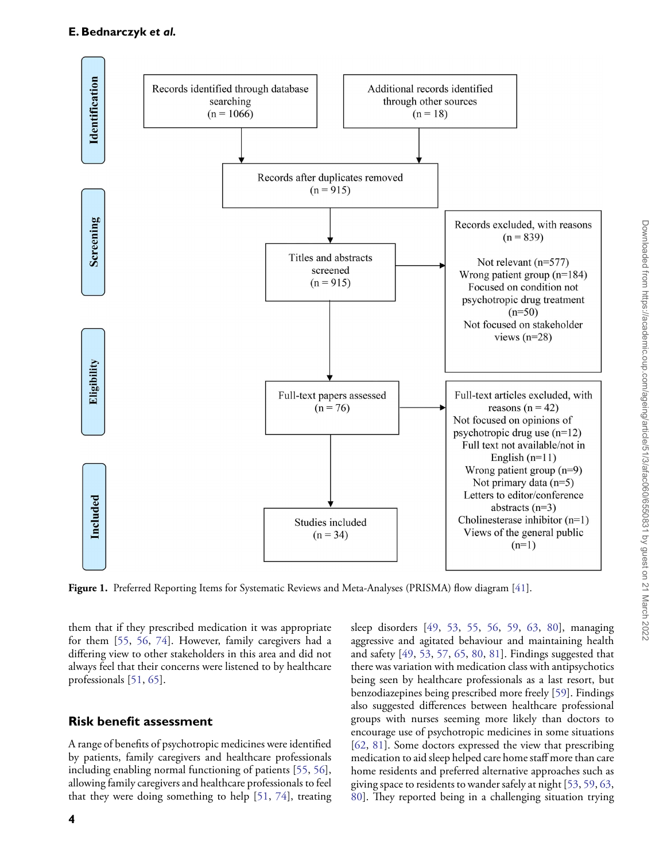#### **E. Bednarczyk** *et al.*



<span id="page-3-0"></span>**Figure 1.** Preferred Reporting Items for Systematic Reviews and Meta-Analyses (PRISMA) flow diagram [\[41](#page-8-19)].

them that if they prescribed medication it was appropriate for them [[55](#page-9-2), [56](#page-9-3), [74\]](#page-9-7). However, family caregivers had a differing view to other stakeholders in this area and did not always feel that their concerns were listened to by healthcare professionals [\[51,](#page-9-1) [65](#page-9-15)].

### **Risk benefit assessment**

A range of benefits of psychotropic medicines were identified by patients, family caregivers and healthcare professionals including enabling normal functioning of patients [\[55,](#page-9-2) [56](#page-9-3)], allowing family caregivers and healthcare professionals to feel that they were doing something to help [\[51,](#page-9-1) [74](#page-9-7)], treating aggressive and agitated behaviour and maintaining health and safety [\[49,](#page-9-12) [53,](#page-9-13) [57,](#page-9-14) [65,](#page-9-15) [80,](#page-9-16) [81\]](#page-9-17). Findings suggested that there was variation with medication class with antipsychotics being seen by healthcare professionals as a last resort, but benzodiazepines being prescribed more freely [[59](#page-9-10)]. Findings also suggested differences between healthcare professional groups with nurses seeming more likely than doctors to encourage use of psychotropic medicines in some situations [[62](#page-9-5), [81\]](#page-9-17). Some doctors expressed the view that prescribing medication to aid sleep helped care home staff more than care home residents and preferred alternative approaches such as giving space to residents to wander safely at night [[53](#page-9-13), [59](#page-9-10), [63](#page-9-11), [80\]](#page-9-16). They reported being in a challenging situation trying

sleep disorders [\[49,](#page-9-12) [53,](#page-9-13) [55](#page-9-2), [56,](#page-9-3) [59](#page-9-10), [63](#page-9-11), [80\]](#page-9-16), managing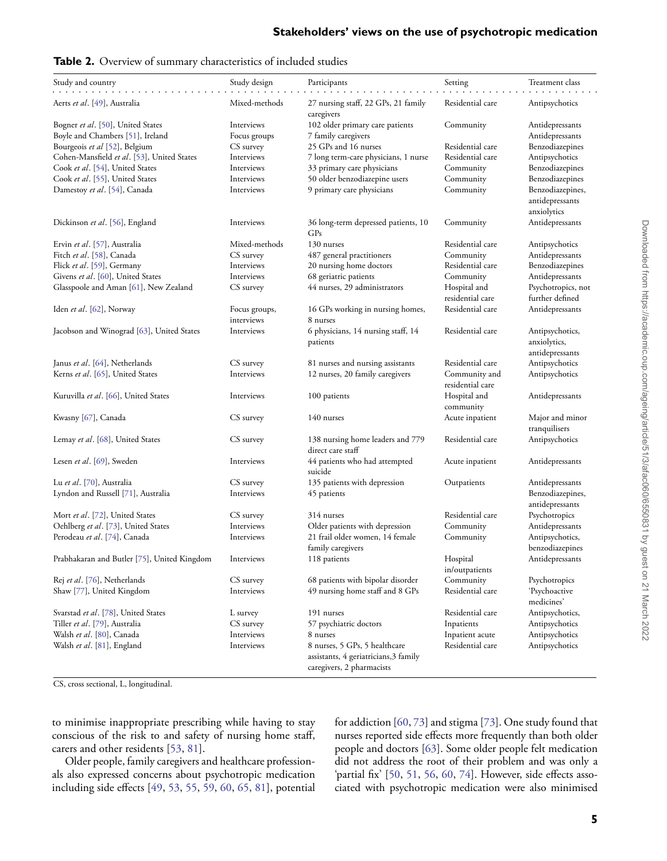<span id="page-4-4"></span><span id="page-4-3"></span><span id="page-4-2"></span><span id="page-4-1"></span>

| Study and country                           | Study design  | Participants                                                       | Setting                          | Treatment class                       |
|---------------------------------------------|---------------|--------------------------------------------------------------------|----------------------------------|---------------------------------------|
| Aerts et al. [49], Australia                | Mixed-methods | 27 nursing staff, 22 GPs, 21 family                                | Residential care                 | Antipsychotics                        |
|                                             |               | caregivers                                                         |                                  |                                       |
| Bogner et al. [50], United States           | Interviews    | 102 older primary care patients                                    | Community                        | Antidepressants                       |
| Boyle and Chambers [51], Ireland            | Focus groups  | 7 family caregivers                                                |                                  | Antidepressants                       |
| Bourgeois et al [52], Belgium               | CS survey     | 25 GPs and 16 nurses                                               | Residential care                 | Benzodiazepines                       |
| Cohen-Mansfield et al. [53], United States  | Interviews    | 7 long term-care physicians, 1 nurse                               | Residential care                 | Antipsychotics                        |
| Cook et al. [54], United States             | Interviews    | 33 primary care physicians                                         | Community                        | Benzodiazepines                       |
| Cook et al. [55], United States             | Interviews    | 50 older benzodiazepine users                                      | Community                        | Benzodiazepines                       |
| Damestoy et al. [54], Canada                | Interviews    | 9 primary care physicians                                          | Community                        | Benzodiazepines,<br>antidepressants   |
|                                             |               |                                                                    |                                  | anxiolytics                           |
| Dickinson et al. [56], England              | Interviews    | 36 long-term depressed patients, 10<br>GP <sub>s</sub>             | Community                        | Antidepressants                       |
| Ervin et al. [57], Australia                | Mixed-methods | 130 nurses                                                         | Residential care                 | Antipsychotics                        |
| Fitch et al. [58], Canada                   | CS survey     | 487 general practitioners                                          | Community                        | Antidepressants                       |
| Flick et al. [59], Germany                  | Interviews    | 20 nursing home doctors                                            | Residential care                 | Benzodiazepines                       |
| Givens et al. [60], United States           | Interviews    | 68 geriatric patients                                              | Community                        | Antidepressants                       |
| Glasspoole and Aman [61], New Zealand       | CS survey     | 44 nurses, 29 administrators                                       | Hospital and<br>residential care | Psychotropics, not<br>further defined |
| Iden et al. [62], Norway                    | Focus groups, | 16 GPs working in nursing homes,                                   | Residential care                 | Antidepressants                       |
|                                             | interviews    | 8 nurses                                                           |                                  |                                       |
| Jacobson and Winograd [63], United States   | Interviews    | 6 physicians, 14 nursing staff, 14<br>patients                     | Residential care                 | Antipsychotics,<br>anxiolytics,       |
|                                             |               |                                                                    |                                  | antidepressants                       |
| Janus et al. [64], Netherlands              | CS survey     | 81 nurses and nursing assistants                                   | Residential care                 | Antipsychotics                        |
| Kerns et al. [65], United States            | Interviews    |                                                                    | Community and                    |                                       |
|                                             |               | 12 nurses, 20 family caregivers                                    | residential care                 | Antipsychotics                        |
| Kuruvilla et al. [66], United States        | Interviews    | 100 patients                                                       | Hospital and<br>community        | Antidepressants                       |
| Kwasny [67], Canada                         | CS survey     | 140 nurses                                                         | Acute inpatient                  | Major and minor                       |
|                                             |               |                                                                    |                                  | tranquilisers                         |
| Lemay et al. [68], United States            | CS survey     | 138 nursing home leaders and 779<br>direct care staff              | Residential care                 | Antipsychotics                        |
| Lesen et al. [69], Sweden                   | Interviews    | 44 patients who had attempted<br>suicide                           | Acute inpatient                  | Antidepressants                       |
| Lu et al. [70], Australia                   | CS survey     | 135 patients with depression                                       | Outpatients                      | Antidepressants                       |
| Lyndon and Russell [71], Australia          | Interviews    | 45 patients                                                        |                                  | Benzodiazepines,<br>antidepressants   |
| Mort et al. [72], United States             | CS survey     | 314 nurses                                                         | Residential care                 | Psychotropics                         |
| Oehlberg et al. [73], United States         | Interviews    | Older patients with depression                                     | Community                        | Antidepressants                       |
| Perodeau et al. [74], Canada                | Interviews    | 21 frail older women, 14 female                                    | Community                        | Antipsychotics,                       |
|                                             |               | family caregivers                                                  |                                  | benzodiazepines                       |
| Prabhakaran and Butler [75], United Kingdom | Interviews    | 118 patients                                                       | Hospital                         | Antidepressants                       |
|                                             |               |                                                                    | in/outpatients                   |                                       |
| Rej et al. [76], Netherlands                | CS survey     | 68 patients with bipolar disorder                                  | Community                        | Psychotropics                         |
| Shaw [77], United Kingdom                   | Interviews    | 49 nursing home staff and 8 GPs                                    | Residential care                 | 'Psychoactive<br>medicines'           |
| Svarstad et al. [78], United States         | L survey      | 191 nurses                                                         | Residential care                 | Antipsychotics,                       |
| Tiller et al. [79], Australia               | CS survey     | 57 psychiatric doctors                                             | Inpatients                       | Antipsychotics                        |
| Walsh et al. [80], Canada                   | Interviews    | 8 nurses                                                           | Inpatient acute                  | Antipsychotics                        |
| Walsh et al. [81], England                  | Interviews    | 8 nurses, 5 GPs, 5 healthcare                                      | Residential care                 | Antipsychotics                        |
|                                             |               | assistants, 4 geriatricians, 3 family<br>caregivers, 2 pharmacists |                                  |                                       |

#### <span id="page-4-0"></span>**Table 2.** Overview of summary characteristics of included studies

<span id="page-4-16"></span><span id="page-4-15"></span><span id="page-4-14"></span><span id="page-4-13"></span><span id="page-4-12"></span><span id="page-4-11"></span><span id="page-4-10"></span><span id="page-4-9"></span><span id="page-4-8"></span><span id="page-4-7"></span><span id="page-4-6"></span><span id="page-4-5"></span>CS, cross sectional, L, longitudinal.

to minimise inappropriate prescribing while having to stay conscious of the risk to and safety of nursing home staff, carers and other residents [\[53,](#page-9-13) [81\]](#page-9-17).

Older people, family caregivers and healthcare professionals also expressed concerns about psychotropic medication including side effects [[49](#page-9-12), [53](#page-9-13), [55,](#page-9-2) [59,](#page-9-10) [60,](#page-9-4) [65,](#page-9-15) [81\]](#page-9-17), potential for addiction [[60](#page-9-4), [73](#page-9-6)] and stigma [\[73\]](#page-9-6). One study found that nurses reported side effects more frequently than both older people and doctors [\[63\]](#page-9-11). Some older people felt medication did not address the root of their problem and was only a 'partial fix' [\[50,](#page-9-0) [51,](#page-9-1) [56,](#page-9-3) [60](#page-9-4), [74](#page-9-7)]. However, side effects associated with psychotropic medication were also minimised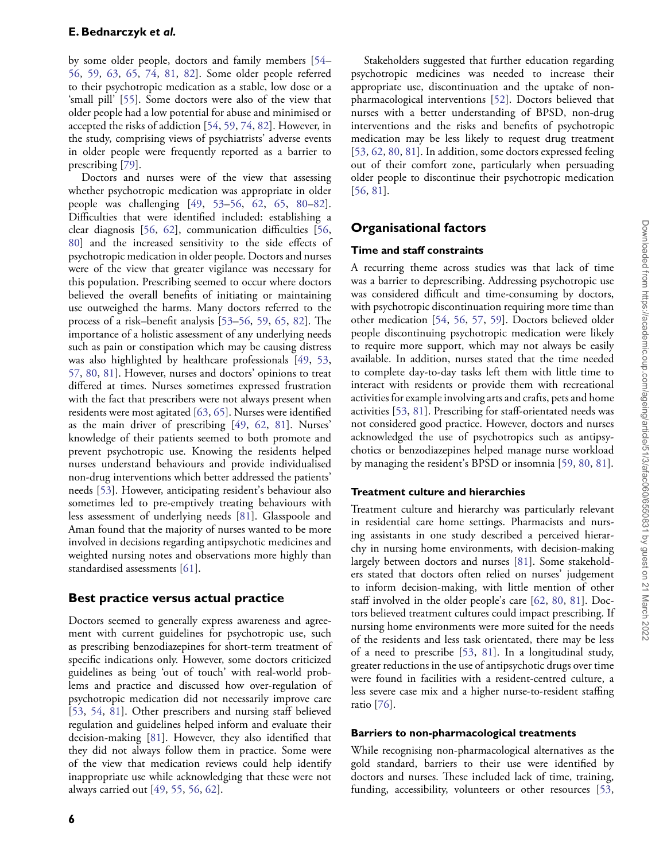by some older people, doctors and family members [[54](#page-9-9)– [56](#page-9-3), [59,](#page-9-10) [63,](#page-9-11) [65](#page-9-15), [74,](#page-9-7) [81,](#page-9-17) [82](#page-9-8)]. Some older people referred to their psychotropic medication as a stable, low dose or a 'small pill' [\[55\]](#page-9-2). Some doctors were also of the view that older people had a low potential for abuse and minimised or accepted the risks of addiction [\[54,](#page-9-9) [59](#page-9-10), [74,](#page-9-7) [82](#page-9-8)]. However, in the study, comprising views of psychiatrists' adverse events in older people were frequently reported as a barrier to prescribing [[79](#page-9-33)].

Doctors and nurses were of the view that assessing whether psychotropic medication was appropriate in older people was challenging [\[49,](#page-9-12) [53](#page-9-13)[–56,](#page-9-3) [62](#page-9-5), [65](#page-9-15), [80–](#page-9-16)[82](#page-9-8)]. Difficulties that were identified included: establishing a clear diagnosis [[56](#page-9-3), [62\]](#page-9-5), communication difficulties [\[56,](#page-9-3) [80](#page-9-16)] and the increased sensitivity to the side effects of psychotropic medication in older people. Doctors and nurses were of the view that greater vigilance was necessary for this population. Prescribing seemed to occur where doctors believed the overall benefits of initiating or maintaining use outweighed the harms. Many doctors referred to the process of a risk–benefit analysis [\[53](#page-9-13)[–56,](#page-9-3) [59](#page-9-10), [65,](#page-9-15) [82\]](#page-9-8). The importance of a holistic assessment of any underlying needs such as pain or constipation which may be causing distress was also highlighted by healthcare professionals [\[49,](#page-9-12) [53,](#page-9-13) [57](#page-9-14), [80](#page-9-16), [81](#page-9-17)]. However, nurses and doctors' opinions to treat differed at times. Nurses sometimes expressed frustration with the fact that prescribers were not always present when residents were most agitated [[63](#page-9-11), [65\]](#page-9-15). Nurses were identified as the main driver of prescribing [[49](#page-9-12), [62](#page-9-5), [81\]](#page-9-17). Nurses' knowledge of their patients seemed to both promote and prevent psychotropic use. Knowing the residents helped nurses understand behaviours and provide individualised non-drug interventions which better addressed the patients' needs [[53](#page-9-13)]. However, anticipating resident's behaviour also sometimes led to pre-emptively treating behaviours with less assessment of underlying needs [\[81\]](#page-9-17). Glasspoole and Aman found that the majority of nurses wanted to be more involved in decisions regarding antipsychotic medicines and weighted nursing notes and observations more highly than standardised assessments [\[61\]](#page-9-20).

### **Best practice versus actual practice**

Doctors seemed to generally express awareness and agreement with current guidelines for psychotropic use, such as prescribing benzodiazepines for short-term treatment of specific indications only. However, some doctors criticized guidelines as being 'out of touch' with real-world problems and practice and discussed how over-regulation of psychotropic medication did not necessarily improve care [\[53,](#page-9-13) [54,](#page-9-9) [81](#page-9-17)]. Other prescribers and nursing staff believed regulation and guidelines helped inform and evaluate their decision-making [[81](#page-9-17)]. However, they also identified that they did not always follow them in practice. Some were of the view that medication reviews could help identify inappropriate use while acknowledging that these were not always carried out [\[49,](#page-9-12) [55,](#page-9-2) [56](#page-9-3), [62](#page-9-5)].

Stakeholders suggested that further education regarding psychotropic medicines was needed to increase their appropriate use, discontinuation and the uptake of nonpharmacological interventions [[52](#page-9-18)]. Doctors believed that nurses with a better understanding of BPSD, non-drug interventions and the risks and benefits of psychotropic medication may be less likely to request drug treatment [[53](#page-9-13), [62,](#page-9-5) [80](#page-9-16), [81\]](#page-9-17). In addition, some doctors expressed feeling out of their comfort zone, particularly when persuading older people to discontinue their psychotropic medication [[56](#page-9-3), [81\]](#page-9-17).

# **Organisational factors**

#### **Time and staff constraints**

A recurring theme across studies was that lack of time was a barrier to deprescribing. Addressing psychotropic use was considered difficult and time-consuming by doctors, with psychotropic discontinuation requiring more time than other medication [[54](#page-9-9), [56](#page-9-3), [57,](#page-9-14) [59\]](#page-9-10). Doctors believed older people discontinuing psychotropic medication were likely to require more support, which may not always be easily available. In addition, nurses stated that the time needed to complete day-to-day tasks left them with little time to interact with residents or provide them with recreational activities for example involving arts and crafts, pets and home activities [\[53,](#page-9-13) [81\]](#page-9-17). Prescribing for staff-orientated needs was not considered good practice. However, doctors and nurses acknowledged the use of psychotropics such as antipsychotics or benzodiazepines helped manage nurse workload by managing the resident's BPSD or insomnia [[59](#page-9-10), [80,](#page-9-16) [81\]](#page-9-17).

### **Treatment culture and hierarchies**

Treatment culture and hierarchy was particularly relevant in residential care home settings. Pharmacists and nursing assistants in one study described a perceived hierarchy in nursing home environments, with decision-making largely between doctors and nurses [\[81\]](#page-9-17). Some stakeholders stated that doctors often relied on nurses' judgement to inform decision-making, with little mention of other staff involved in the older people's care [\[62,](#page-9-5) [80](#page-9-16), [81\]](#page-9-17). Doctors believed treatment cultures could impact prescribing. If nursing home environments were more suited for the needs of the residents and less task orientated, there may be less of a need to prescribe [[53](#page-9-13), [81\]](#page-9-17). In a longitudinal study, greater reductions in the use of antipsychotic drugs over time were found in facilities with a resident-centred culture, a less severe case mix and a higher nurse-to-resident staffing ratio [\[76\]](#page-9-30).

#### **Barriers to non-pharmacological treatments**

While recognising non-pharmacological alternatives as the gold standard, barriers to their use were identified by doctors and nurses. These included lack of time, training, funding, accessibility, volunteers or other resources [[53](#page-9-13),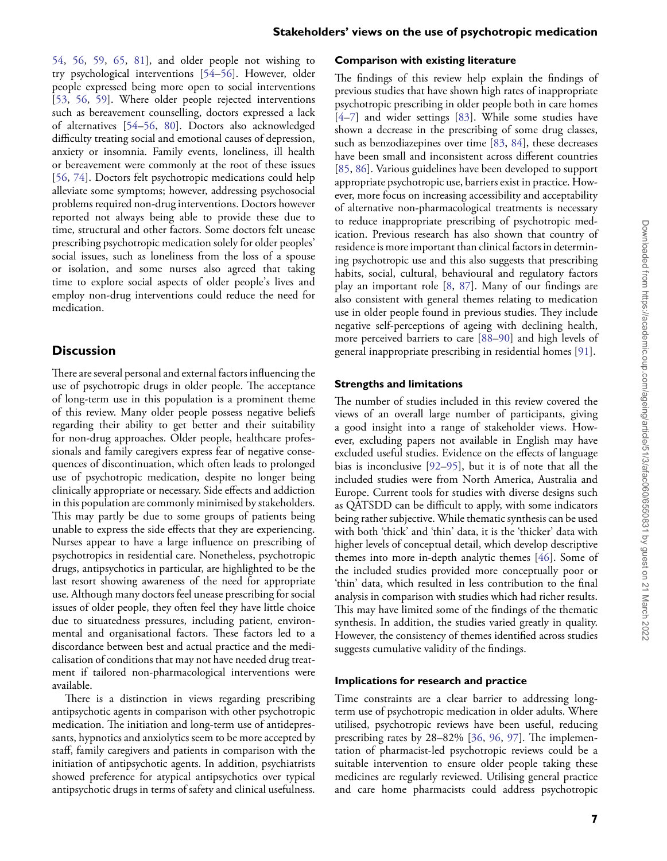[54](#page-9-9), [56](#page-9-3), [59,](#page-9-10) [65,](#page-9-15) [81](#page-9-17)], and older people not wishing to try psychological interventions [[54](#page-9-9)–[56](#page-9-3)]. However, older people expressed being more open to social interventions [\[53,](#page-9-13) [56,](#page-9-3) [59](#page-9-10)]. Where older people rejected interventions such as bereavement counselling, doctors expressed a lack of alternatives [\[54–](#page-9-9)[56](#page-9-3), [80](#page-9-16)]. Doctors also acknowledged difficulty treating social and emotional causes of depression, anxiety or insomnia. Family events, loneliness, ill health or bereavement were commonly at the root of these issues [\[56,](#page-9-3) [74\]](#page-9-7). Doctors felt psychotropic medications could help alleviate some symptoms; however, addressing psychosocial problems required non-drug interventions. Doctors however reported not always being able to provide these due to time, structural and other factors. Some doctors felt unease prescribing psychotropic medication solely for older peoples' social issues, such as loneliness from the loss of a spouse or isolation, and some nurses also agreed that taking time to explore social aspects of older people's lives and employ non-drug interventions could reduce the need for medication.

# **Discussion**

There are several personal and external factors influencing the use of psychotropic drugs in older people. The acceptance of long-term use in this population is a prominent theme of this review. Many older people possess negative beliefs regarding their ability to get better and their suitability for non-drug approaches. Older people, healthcare professionals and family caregivers express fear of negative consequences of discontinuation, which often leads to prolonged use of psychotropic medication, despite no longer being clinically appropriate or necessary. Side effects and addiction in this population are commonly minimised by stakeholders. This may partly be due to some groups of patients being unable to express the side effects that they are experiencing. Nurses appear to have a large influence on prescribing of psychotropics in residential care. Nonetheless, psychotropic drugs, antipsychotics in particular, are highlighted to be the last resort showing awareness of the need for appropriate use. Although many doctors feel unease prescribing for social issues of older people, they often feel they have little choice due to situatedness pressures, including patient, environmental and organisational factors. These factors led to a discordance between best and actual practice and the medicalisation of conditions that may not have needed drug treatment if tailored non-pharmacological interventions were available.

There is a distinction in views regarding prescribing antipsychotic agents in comparison with other psychotropic medication. The initiation and long-term use of antidepressants, hypnotics and anxiolytics seem to be more accepted by staff, family caregivers and patients in comparison with the initiation of antipsychotic agents. In addition, psychiatrists showed preference for atypical antipsychotics over typical antipsychotic drugs in terms of safety and clinical usefulness.

#### **Comparison with existing literature**

<span id="page-6-4"></span><span id="page-6-3"></span><span id="page-6-2"></span><span id="page-6-1"></span><span id="page-6-0"></span>The findings of this review help explain the findings of previous studies that have shown high rates of inappropriate psychotropic prescribing in older people both in care homes [[4](#page-7-3)[–7](#page-7-11)] and wider settings [[83](#page-10-0)]. While some studies have shown a decrease in the prescribing of some drug classes, such as benzodiazepines over time [\[83,](#page-10-0) [84\]](#page-10-1), these decreases have been small and inconsistent across different countries [[85](#page-10-2), [86\]](#page-10-3). Various guidelines have been developed to support appropriate psychotropic use, barriers exist in practice. However, more focus on increasing accessibility and acceptability of alternative non-pharmacological treatments is necessary to reduce inappropriate prescribing of psychotropic medication. Previous research has also shown that country of residence is more important than clinical factors in determining psychotropic use and this also suggests that prescribing habits, social, cultural, behavioural and regulatory factors play an important role [[8](#page-7-5), [87](#page-10-4)]. Many of our findings are also consistent with general themes relating to medication use in older people found in previous studies. They include negative self-perceptions of ageing with declining health, more perceived barriers to care [\[88–](#page-10-5)[90](#page-10-6)] and high levels of general inappropriate prescribing in residential homes [[91](#page-10-7)].

#### <span id="page-6-8"></span><span id="page-6-7"></span><span id="page-6-6"></span><span id="page-6-5"></span>**Strengths and limitations**

<span id="page-6-10"></span><span id="page-6-9"></span>The number of studies included in this review covered the views of an overall large number of participants, giving a good insight into a range of stakeholder views. However, excluding papers not available in English may have excluded useful studies. Evidence on the effects of language bias is inconclusive [\[92–](#page-10-8)[95\]](#page-10-9), but it is of note that all the included studies were from North America, Australia and Europe. Current tools for studies with diverse designs such as QATSDD can be difficult to apply, with some indicators being rather subjective. While thematic synthesis can be used with both 'thick' and 'thin' data, it is the 'thicker' data with higher levels of conceptual detail, which develop descriptive themes into more in-depth analytic themes [\[46\]](#page-8-24). Some of the included studies provided more conceptually poor or 'thin' data, which resulted in less contribution to the final analysis in comparison with studies which had richer results. This may have limited some of the findings of the thematic synthesis. In addition, the studies varied greatly in quality. However, the consistency of themes identified across studies suggests cumulative validity of the findings.

#### **Implications for research and practice**

<span id="page-6-12"></span><span id="page-6-11"></span>Time constraints are a clear barrier to addressing longterm use of psychotropic medication in older adults. Where utilised, psychotropic reviews have been useful, reducing prescribing rates by 28–82% [[36](#page-8-14), [96,](#page-10-10) [97](#page-10-11)]. The implementation of pharmacist-led psychotropic reviews could be a suitable intervention to ensure older people taking these medicines are regularly reviewed. Utilising general practice and care home pharmacists could address psychotropic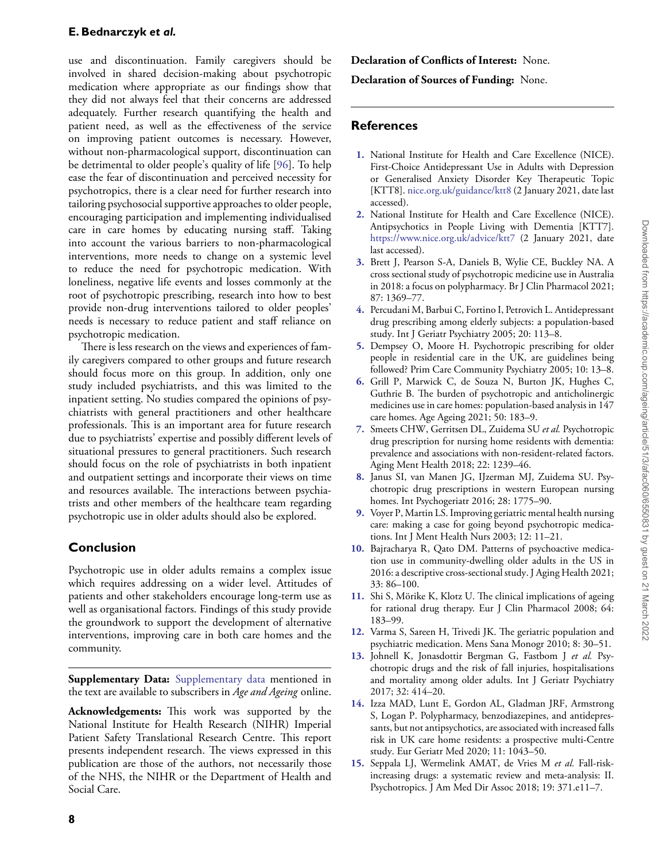use and discontinuation. Family caregivers should be involved in shared decision-making about psychotropic medication where appropriate as our findings show that they did not always feel that their concerns are addressed adequately. Further research quantifying the health and patient need, as well as the effectiveness of the service on improving patient outcomes is necessary. However, without non-pharmacological support, discontinuation can be detrimental to older people's quality of life [\[96\]](#page-10-10). To help ease the fear of discontinuation and perceived necessity for psychotropics, there is a clear need for further research into tailoring psychosocial supportive approaches to older people, encouraging participation and implementing individualised care in care homes by educating nursing staff. Taking into account the various barriers to non-pharmacological interventions, more needs to change on a systemic level to reduce the need for psychotropic medication. With loneliness, negative life events and losses commonly at the root of psychotropic prescribing, research into how to best provide non-drug interventions tailored to older peoples' needs is necessary to reduce patient and staff reliance on psychotropic medication.

There is less research on the views and experiences of family caregivers compared to other groups and future research should focus more on this group. In addition, only one study included psychiatrists, and this was limited to the inpatient setting. No studies compared the opinions of psychiatrists with general practitioners and other healthcare professionals. This is an important area for future research due to psychiatrists' expertise and possibly different levels of situational pressures to general practitioners. Such research should focus on the role of psychiatrists in both inpatient and outpatient settings and incorporate their views on time and resources available. The interactions between psychiatrists and other members of the healthcare team regarding psychotropic use in older adults should also be explored.

# **Conclusion**

Psychotropic use in older adults remains a complex issue which requires addressing on a wider level. Attitudes of patients and other stakeholders encourage long-term use as well as organisational factors. Findings of this study provide the groundwork to support the development of alternative interventions, improving care in both care homes and the community.

**Supplementary Data:** [Supplementary data](https://academic.oup.com/ageing/article-lookup/doi/10.1093/ageing/afac060#supplementary-data) mentioned in the text are available to subscribers in *Age and Ageing* online.

**Acknowledgements:** This work was supported by the National Institute for Health Research (NIHR) Imperial Patient Safety Translational Research Centre. This report presents independent research. The views expressed in this publication are those of the authors, not necessarily those of the NHS, the NIHR or the Department of Health and Social Care.

**Declaration of Conflicts of Interest:** None.

**Declaration of Sources of Funding:** None.

# **References**

- <span id="page-7-0"></span>**[1.](#page-0-0)** National Institute for Health and Care Excellence (NICE). First-Choice Antidepressant Use in Adults with Depression or Generalised Anxiety Disorder Key Therapeutic Topic [KTT8]. <nice.org.uk/guidance/ktt8> (2 January 2021, date last accessed).
- <span id="page-7-1"></span>**[2.](#page-0-1)** National Institute for Health and Care Excellence (NICE). Antipsychotics in People Living with Dementia [KTT7]. <https://www.nice.org.uk/advice/ktt7> (2 January 2021, date last accessed).
- <span id="page-7-2"></span>**[3.](#page-0-2)** Brett J, Pearson S-A, Daniels B, Wylie CE, Buckley NA. A cross sectional study of psychotropic medicine use in Australia in 2018: a focus on polypharmacy. Br J Clin Pharmacol 2021; 87: 1369–77.
- <span id="page-7-3"></span>**[4.](#page-0-3)** Percudani M, Barbui C, Fortino I, Petrovich L. Antidepressant drug prescribing among elderly subjects: a population-based study. Int J Geriatr Psychiatry 2005; 20: 113–8.
- <span id="page-7-4"></span>**[5.](#page-0-4)** Dempsey O, Moore H. Psychotropic prescribing for older people in residential care in the UK, are guidelines being followed? Prim Care Community Psychiatry 2005; 10: 13–8.
- **6.** Grill P, Marwick C, de Souza N, Burton JK, Hughes C, Guthrie B. The burden of psychotropic and anticholinergic medicines use in care homes: population-based analysis in 147 care homes. Age Ageing 2021; 50: 183–9.
- <span id="page-7-11"></span>**[7.](#page-6-0)** Smeets CHW, Gerritsen DL, Zuidema SU *et al.* Psychotropic drug prescription for nursing home residents with dementia: prevalence and associations with non-resident-related factors. Aging Ment Health 2018; 22: 1239–46.
- <span id="page-7-5"></span>**[8.](#page-0-5)** Janus SI, van Manen JG, IJzerman MJ, Zuidema SU. Psychotropic drug prescriptions in western European nursing homes. Int Psychogeriatr 2016; 28: 1775–90.
- <span id="page-7-6"></span>**[9.](#page-0-6)** Voyer P, Martin LS. Improving geriatric mental health nursing care: making a case for going beyond psychotropic medications. Int J Ment Health Nurs 2003; 12: 11–21.
- <span id="page-7-7"></span>**[10.](#page-0-7)** Bajracharya R, Qato DM. Patterns of psychoactive medication use in community-dwelling older adults in the US in 2016: a descriptive cross-sectional study. J Aging Health 2021; 33: 86–100.
- <span id="page-7-8"></span>**[11.](#page-0-8)** Shi S, Mörike K, Klotz U. The clinical implications of ageing for rational drug therapy. Eur J Clin Pharmacol 2008; 64: 183–99.
- <span id="page-7-9"></span>**[12.](#page-1-1)** Varma S, Sareen H, Trivedi JK. The geriatric population and psychiatric medication. Mens Sana Monogr 2010; 8: 30–51.
- <span id="page-7-10"></span>**[13.](#page-1-2)** Johnell K, Jonasdottir Bergman G, Fastbom J *et al.* Psychotropic drugs and the risk of fall injuries, hospitalisations and mortality among older adults. Int J Geriatr Psychiatry 2017; 32: 414–20.
- **14.** Izza MAD, Lunt E, Gordon AL, Gladman JRF, Armstrong S, Logan P. Polypharmacy, benzodiazepines, and antidepressants, but not antipsychotics, are associated with increased falls risk in UK care home residents: a prospective multi-Centre study. Eur Geriatr Med 2020; 11: 1043–50.
- **15.** Seppala LJ, Wermelink AMAT, de Vries M *et al.* Fall-riskincreasing drugs: a systematic review and meta-analysis: II. Psychotropics. J Am Med Dir Assoc 2018; 19: 371.e11–7.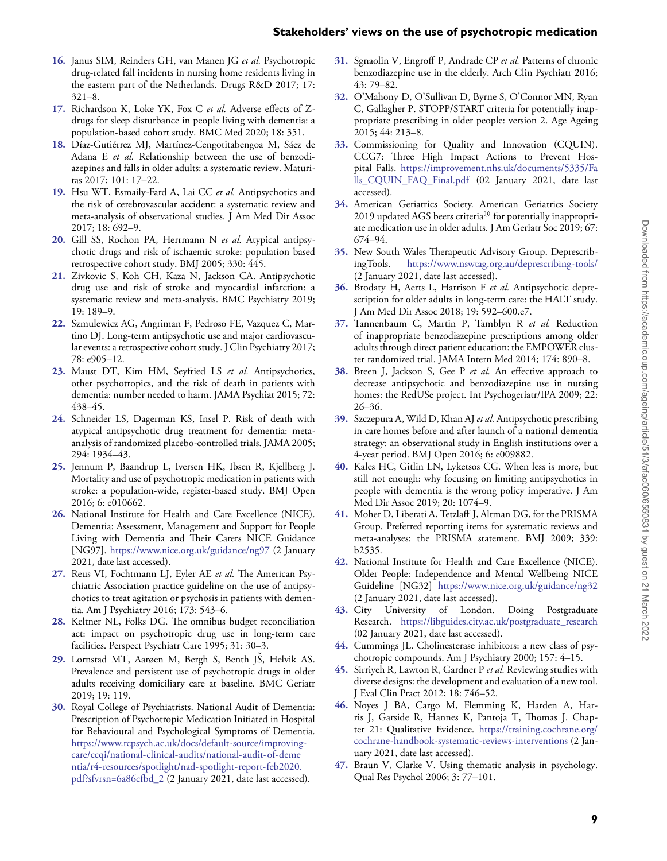- **16.** Janus SIM, Reinders GH, van Manen JG *et al.* Psychotropic drug-related fall incidents in nursing home residents living in the eastern part of the Netherlands. Drugs R&D 2017; 17: 321–8.
- <span id="page-8-1"></span>**[17.](#page-1-3)** Richardson K, Loke YK, Fox C *et al.* Adverse effects of Zdrugs for sleep disturbance in people living with dementia: a population-based cohort study. BMC Med 2020; 18: 351.
- <span id="page-8-0"></span>**[18.](#page-1-4)** Díaz-Gutiérrez MJ, Martínez-Cengotitabengoa M, Sáez de Adana E *et al.* Relationship between the use of benzodiazepines and falls in older adults: a systematic review. Maturitas 2017; 101: 17–22.
- <span id="page-8-2"></span>**[19.](#page-1-5)** Hsu WT, Esmaily-Fard A, Lai CC *et al.* Antipsychotics and the risk of cerebrovascular accident: a systematic review and meta-analysis of observational studies. J Am Med Dir Assoc 2017; 18: 692–9.
- **20.** Gill SS, Rochon PA, Herrmann N *et al.* Atypical antipsychotic drugs and risk of ischaemic stroke: population based retrospective cohort study. BMJ 2005; 330: 445.
- **21.** Zivkovic S, Koh CH, Kaza N, Jackson CA. Antipsychotic drug use and risk of stroke and myocardial infarction: a systematic review and meta-analysis. BMC Psychiatry 2019; 19: 189–9.
- <span id="page-8-3"></span>**[22.](#page-1-6)** Szmulewicz AG, Angriman F, Pedroso FE, Vazquez C, Martino DJ. Long-term antipsychotic use and major cardiovascular events: a retrospective cohort study. J Clin Psychiatry 2017; 78: e905–12.
- <span id="page-8-4"></span>**[23.](#page-1-7)** Maust DT, Kim HM, Seyfried LS *et al.* Antipsychotics, other psychotropics, and the risk of death in patients with dementia: number needed to harm. JAMA Psychiat 2015; 72: 438–45.
- **24.** Schneider LS, Dagerman KS, Insel P. Risk of death with atypical antipsychotic drug treatment for dementia: metaanalysis of randomized placebo-controlled trials. JAMA 2005; 294: 1934–43.
- <span id="page-8-5"></span>**[25.](#page-1-8)** Jennum P, Baandrup L, Iversen HK, Ibsen R, Kjellberg J. Mortality and use of psychotropic medication in patients with stroke: a population-wide, register-based study. BMJ Open 2016; 6: e010662.
- <span id="page-8-6"></span>**[26.](#page-1-9)** National Institute for Health and Care Excellence (NICE). Dementia: Assessment, Management and Support for People Living with Dementia and Their Carers NICE Guidance [NG97]. <https://www.nice.org.uk/guidance/ng97> (2 January 2021, date last accessed).
- **27.** Reus VI, Fochtmann LJ, Eyler AE *et al.* The American Psychiatric Association practice guideline on the use of antipsychotics to treat agitation or psychosis in patients with dementia. Am J Psychiatry 2016; 173: 543–6.
- <span id="page-8-7"></span>**[28.](#page-1-10)** Keltner NL, Folks DG. The omnibus budget reconciliation act: impact on psychotropic drug use in long-term care facilities. Perspect Psychiatr Care 1995; 31: 30–3.
- <span id="page-8-8"></span>[29.](#page-1-11) Lornstad MT, Aarøen M, Bergh S, Benth JŠ, Helvik AS. Prevalence and persistent use of psychotropic drugs in older adults receiving domiciliary care at baseline. BMC Geriatr 2019; 19: 119.
- <span id="page-8-9"></span>**30.** Royal College of Psychiatrists. National Audit of Dementia: Prescription of Psychotropic Medication Initiated in Hospital for Behavioural and Psychological Symptoms of Dementia. [https://www.rcpsych.ac.uk/docs/default-source/improving](https://www.rcpsych.ac.uk/docs/default-source/improving-care/ccqi/national-clinical-audits/national-audit-of-dementia/r4-resources/spotlight/nad-spotlight-report-feb2020.pdf?sfvrsn=6a86cfbd_2)[care/ccqi/national-clinical-audits/national-audit-of-deme](https://www.rcpsych.ac.uk/docs/default-source/improving-care/ccqi/national-clinical-audits/national-audit-of-dementia/r4-resources/spotlight/nad-spotlight-report-feb2020.pdf?sfvrsn=6a86cfbd_2) [ntia/r4-resources/spotlight/nad-spotlight-report-feb2020.](https://www.rcpsych.ac.uk/docs/default-source/improving-care/ccqi/national-clinical-audits/national-audit-of-dementia/r4-resources/spotlight/nad-spotlight-report-feb2020.pdf?sfvrsn=6a86cfbd_2) [pdf?sfvrsn=6a86cfbd\\_2](https://www.rcpsych.ac.uk/docs/default-source/improving-care/ccqi/national-clinical-audits/national-audit-of-dementia/r4-resources/spotlight/nad-spotlight-report-feb2020.pdf?sfvrsn=6a86cfbd_2) (2 January 2021, date last accessed).
- **[31.](#page-1-12)** Sgnaolin V, Engroff P, Andrade CP *et al.* Patterns of chronic benzodiazepine use in the elderly. Arch Clin Psychiatr 2016; 43: 79–82.
- <span id="page-8-10"></span>**[32.](#page-1-13)** O'Mahony D, O'Sullivan D, Byrne S, O'Connor MN, Ryan C, Gallagher P. STOPP/START criteria for potentially inappropriate prescribing in older people: version 2. Age Ageing 2015; 44: 213–8.
- <span id="page-8-11"></span>**[33.](#page-1-14)** Commissioning for Quality and Innovation (CQUIN). CCG7: Three High Impact Actions to Prevent Hospital Falls. [https://improvement.nhs.uk/documents/5335/Fa](https://improvement.nhs.uk/documents/5335/Falls_CQUIN_FAQ_Final.pdf) [lls\\_CQUIN\\_FAQ\\_Final.pdf](https://improvement.nhs.uk/documents/5335/Falls_CQUIN_FAQ_Final.pdf) (02 January 2021, date last accessed).
- <span id="page-8-12"></span>**[34.](#page-1-15)** American Geriatrics Society. American Geriatrics Society 2019 updated AGS beers criteria $^{\circledR}$  for potentially inappropriate medication use in older adults. J Am Geriatr Soc 2019; 67: 674–94.
- <span id="page-8-13"></span>**[35.](#page-1-16)** New South Wales Therapeutic Advisory Group. DeprescribingTools. <https://www.nswtag.org.au/deprescribing-tools/> (2 January 2021, date last accessed).
- <span id="page-8-14"></span>**[36.](#page-1-17)** Brodaty H, Aerts L, Harrison F *et al.* Antipsychotic deprescription for older adults in long-term care: the HALT study. J Am Med Dir Assoc 2018; 19: 592–600.e7.
- <span id="page-8-15"></span>**[37.](#page-1-18)** Tannenbaum C, Martin P, Tamblyn R *et al.* Reduction of inappropriate benzodiazepine prescriptions among older adults through direct patient education: the EMPOWER cluster randomized trial. JAMA Intern Med 2014; 174: 890–8.
- <span id="page-8-16"></span>**[38.](#page-1-19)** Breen J, Jackson S, Gee P *et al.* An effective approach to decrease antipsychotic and benzodiazepine use in nursing homes: the RedUSe project. Int Psychogeriatr/IPA 2009; 22: 26–36.
- <span id="page-8-17"></span>**[39.](#page-1-20)** Szczepura A, Wild D, Khan AJ *et al.* Antipsychotic prescribing in care homes before and after launch of a national dementia strategy: an observational study in English institutions over a 4-year period. BMJ Open 2016; 6: e009882.
- <span id="page-8-18"></span>**[40.](#page-1-21)** Kales HC, Gitlin LN, Lyketsos CG. When less is more, but still not enough: why focusing on limiting antipsychotics in people with dementia is the wrong policy imperative. J Am Med Dir Assoc 2019; 20: 1074–9.
- <span id="page-8-19"></span>**[41.](#page-1-22)** Moher D, Liberati A, Tetzlaff J, Altman DG, for the PRISMA Group. Preferred reporting items for systematic reviews and meta-analyses: the PRISMA statement. BMJ 2009; 339: b2535.
- <span id="page-8-20"></span>**[42.](#page-1-23)** National Institute for Health and Care Excellence (NICE). Older People: Independence and Mental Wellbeing NICE Guideline [NG32] <https://www.nice.org.uk/guidance/ng32> (2 January 2021, date last accessed).
- <span id="page-8-21"></span>**[43.](#page-1-24)** City University of London. Doing Postgraduate Research. [https://libguides.city.ac.uk/postgraduate\\_research](https://libguides.city.ac.uk/postgraduate_research) (02 January 2021, date last accessed).
- <span id="page-8-22"></span>**[44.](#page-1-25)** Cummings JL. Cholinesterase inhibitors: a new class of psychotropic compounds. Am J Psychiatry 2000; 157: 4–15.
- <span id="page-8-23"></span>**[45.](#page-1-26)** Sirriyeh R, Lawton R, Gardner P *et al.* Reviewing studies with diverse designs: the development and evaluation of a new tool. J Eval Clin Pract 2012; 18: 746–52.
- <span id="page-8-24"></span>**[46.](#page-2-0)** Noyes J BA, Cargo M, Flemming K, Harden A, Harris J, Garside R, Hannes K, Pantoja T, Thomas J. Chapter 21: Qualitative Evidence. [https://training.cochrane.org/](https://training.cochrane.org/cochrane-handbook-systematic-reviews-interventions) [cochrane-handbook-systematic-reviews-interventions](https://training.cochrane.org/cochrane-handbook-systematic-reviews-interventions) (2 January 2021, date last accessed).
- <span id="page-8-26"></span><span id="page-8-25"></span>**[47.](#page-2-1)** Braun V, Clarke V. Using thematic analysis in psychology. Qual Res Psychol 2006; 3: 77–101.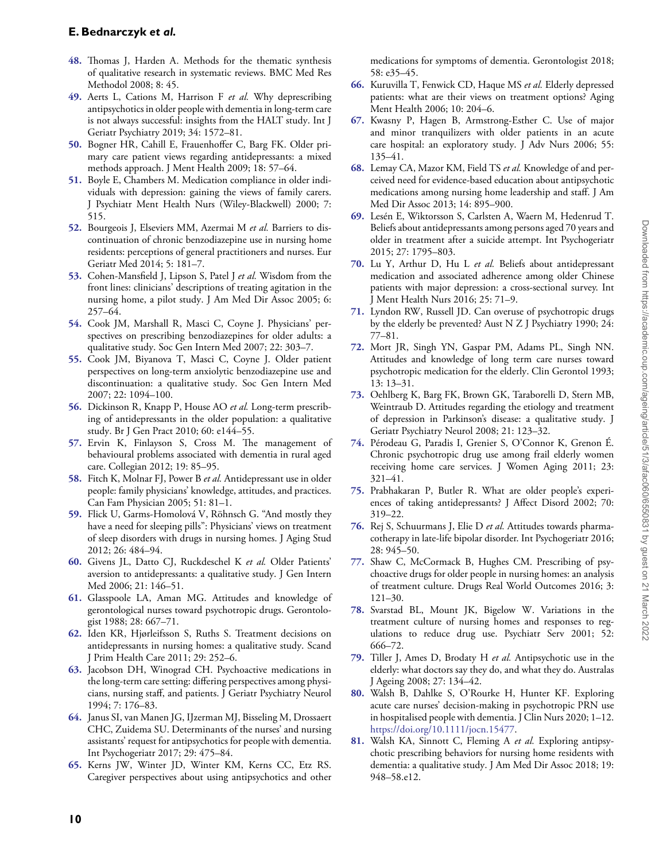# **E. Bednarczyk** *et al.*

- **[48.](#page-2-2)** Thomas J, Harden A. Methods for the thematic synthesis of qualitative research in systematic reviews. BMC Med Res Methodol 2008; 8: 45.
- <span id="page-9-12"></span>**[49.](#page-2-3)** Aerts L, Cations M, Harrison F *et al.* Why deprescribing antipsychotics in older people with dementia in long-term care is not always successful: insights from the HALT study. Int J Geriatr Psychiatry 2019; 34: 1572–81.
- <span id="page-9-0"></span>**[50.](#page-2-4)** Bogner HR, Cahill E, Frauenhoffer C, Barg FK. Older primary care patient views regarding antidepressants: a mixed methods approach. J Ment Health 2009; 18: 57–64.
- <span id="page-9-1"></span>**[51.](#page-2-5)** Boyle E, Chambers M. Medication compliance in older individuals with depression: gaining the views of family carers. J Psychiatr Ment Health Nurs (Wiley-Blackwell) 2000; 7: 515.
- <span id="page-9-18"></span>**[52.](#page-4-1)** Bourgeois J, Elseviers MM, Azermai M *et al.* Barriers to discontinuation of chronic benzodiazepine use in nursing home residents: perceptions of general practitioners and nurses. Eur Geriatr Med 2014; 5: 181–7.
- <span id="page-9-13"></span>**[53.](#page-2-6)** Cohen-Mansfield J, Lipson S, Patel J *et al.* Wisdom from the front lines: clinicians' descriptions of treating agitation in the nursing home, a pilot study. J Am Med Dir Assoc 2005; 6: 257–64.
- <span id="page-9-9"></span>**[54.](#page-2-7)** Cook JM, Marshall R, Masci C, Coyne J. Physicians' perspectives on prescribing benzodiazepines for older adults: a qualitative study. Soc Gen Intern Med 2007; 22: 303–7.
- <span id="page-9-2"></span>**[55.](#page-2-8)** Cook JM, Biyanova T, Masci C, Coyne J. Older patient perspectives on long-term anxiolytic benzodiazepine use and discontinuation: a qualitative study. Soc Gen Intern Med 2007; 22: 1094–100.
- <span id="page-9-3"></span>**[56.](#page-2-9)** Dickinson R, Knapp P, House AO *et al.* Long-term prescribing of antidepressants in the older population: a qualitative study. Br J Gen Pract 2010; 60: e144–55.
- <span id="page-9-14"></span>**[57.](#page-2-10)** Ervin K, Finlayson S, Cross M. The management of behavioural problems associated with dementia in rural aged care. Collegian 2012; 19: 85–95.
- <span id="page-9-19"></span>**[58.](#page-4-2)** Fitch K, Molnar FJ, Power B *et al.* Antidepressant use in older people: family physicians' knowledge, attitudes, and practices. Can Fam Physician 2005; 51: 81–1.
- <span id="page-9-10"></span>**[59.](#page-2-11)** Flick U, Garms-Homolová V, Röhnsch G. "And mostly they have a need for sleeping pills": Physicians' views on treatment of sleep disorders with drugs in nursing homes. J Aging Stud 2012; 26: 484–94.
- <span id="page-9-4"></span>**[60.](#page-2-12)** Givens JL, Datto CJ, Ruckdeschel K *et al.* Older Patients' aversion to antidepressants: a qualitative study. J Gen Intern Med 2006; 21: 146–51.
- <span id="page-9-20"></span>**[61.](#page-4-3)** Glasspoole LA, Aman MG. Attitudes and knowledge of gerontological nurses toward psychotropic drugs. Gerontologist 1988; 28: 667–71.
- <span id="page-9-5"></span>**[62.](#page-2-13)** Iden KR, Hjørleifsson S, Ruths S. Treatment decisions on antidepressants in nursing homes: a qualitative study. Scand J Prim Health Care 2011; 29: 252–6.
- <span id="page-9-11"></span>**[63.](#page-2-14)** Jacobson DH, Winograd CH. Psychoactive medications in the long-term care setting: differing perspectives among physicians, nursing staff, and patients. J Geriatr Psychiatry Neurol 1994; 7: 176–83.
- <span id="page-9-21"></span>**[64.](#page-4-4)** Janus SI, van Manen JG, IJzerman MJ, Bisseling M, Drossaert CHC, Zuidema SU. Determinants of the nurses' and nursing assistants' request for antipsychotics for people with dementia. Int Psychogeriatr 2017; 29: 475–84.
- <span id="page-9-15"></span>**[65.](#page-2-15)** Kerns JW, Winter JD, Winter KM, Kerns CC, Etz RS. Caregiver perspectives about using antipsychotics and other

medications for symptoms of dementia. Gerontologist 2018; 58: e35–45.

- <span id="page-9-22"></span>**[66.](#page-4-5)** Kuruvilla T, Fenwick CD, Haque MS *et al.* Elderly depressed patients: what are their views on treatment options? Aging Ment Health 2006; 10: 204–6.
- <span id="page-9-23"></span>**[67.](#page-4-6)** Kwasny P, Hagen B, Armstrong-Esther C. Use of major and minor tranquilizers with older patients in an acute care hospital: an exploratory study. J Adv Nurs 2006; 55: 135–41.
- <span id="page-9-24"></span>**[68.](#page-4-7)** Lemay CA, Mazor KM, Field TS *et al.* Knowledge of and perceived need for evidence-based education about antipsychotic medications among nursing home leadership and staff. J Am Med Dir Assoc 2013; 14: 895–900.
- <span id="page-9-25"></span>**[69.](#page-4-8)** Lesén E, Wiktorsson S, Carlsten A, Waern M, Hedenrud T. Beliefs about antidepressants among persons aged 70 years and older in treatment after a suicide attempt. Int Psychogeriatr 2015; 27: 1795–803.
- <span id="page-9-26"></span>**[70.](#page-4-9)** Lu Y, Arthur D, Hu L *et al.* Beliefs about antidepressant medication and associated adherence among older Chinese patients with major depression: a cross-sectional survey. Int J Ment Health Nurs 2016; 25: 71–9.
- <span id="page-9-27"></span>**[71.](#page-4-10)** Lyndon RW, Russell JD. Can overuse of psychotropic drugs by the elderly be prevented? Aust N Z J Psychiatry 1990; 24: 77–81.
- <span id="page-9-28"></span>**[72.](#page-4-11)** Mort JR, Singh YN, Gaspar PM, Adams PL, Singh NN. Attitudes and knowledge of long term care nurses toward psychotropic medication for the elderly. Clin Gerontol 1993; 13: 13–31.
- <span id="page-9-6"></span>**[73.](#page-2-16)** Oehlberg K, Barg FK, Brown GK, Taraborelli D, Stern MB, Weintraub D. Attitudes regarding the etiology and treatment of depression in Parkinson's disease: a qualitative study. J Geriatr Psychiatry Neurol 2008; 21: 123–32.
- <span id="page-9-7"></span>**[74.](#page-2-17)** Pérodeau G, Paradis I, Grenier S, O'Connor K, Grenon É. Chronic psychotropic drug use among frail elderly women receiving home care services. J Women Aging 2011; 23: 321–41.
- <span id="page-9-29"></span>**[75.](#page-4-12)** Prabhakaran P, Butler R. What are older people's experiences of taking antidepressants? J Affect Disord 2002; 70: 319–22.
- <span id="page-9-30"></span>**[76.](#page-4-13)** Rej S, Schuurmans J, Elie D *et al.* Attitudes towards pharmacotherapy in late-life bipolar disorder. Int Psychogeriatr 2016; 28: 945–50.
- <span id="page-9-31"></span>**[77.](#page-4-14)** Shaw C, McCormack B, Hughes CM. Prescribing of psychoactive drugs for older people in nursing homes: an analysis of treatment culture. Drugs Real World Outcomes 2016; 3: 121–30.
- <span id="page-9-32"></span>**[78.](#page-4-15)** Svarstad BL, Mount JK, Bigelow W. Variations in the treatment culture of nursing homes and responses to regulations to reduce drug use. Psychiatr Serv 2001; 52: 666–72.
- <span id="page-9-33"></span>**[79.](#page-4-16)** Tiller J, Ames D, Brodaty H *et al.* Antipsychotic use in the elderly: what doctors say they do, and what they do. Australas J Ageing 2008; 27: 134–42.
- <span id="page-9-16"></span>**[80.](#page-2-18)** Walsh B, Dahlke S, O'Rourke H, Hunter KF. Exploring acute care nurses' decision-making in psychotropic PRN use in hospitalised people with dementia. J Clin Nurs 2020; 1–12. [https://doi.org/10.1111/jocn.15477.](https://doi.org/10.1111/jocn.15477)
- <span id="page-9-17"></span><span id="page-9-8"></span>**[81.](#page-2-19)** Walsh KA, Sinnott C, Fleming A *et al.* Exploring antipsychotic prescribing behaviors for nursing home residents with dementia: a qualitative study. J Am Med Dir Assoc 2018; 19: 948–58.e12.